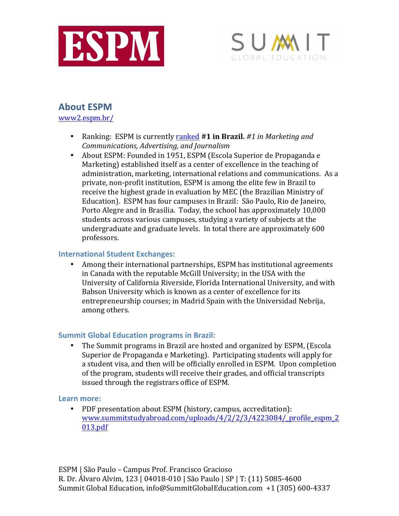



# **About ESPM**

www2.espm.br/

- Ranking: ESPM is currently ranked #1 in Brazil. #1 in Marketing and *Communications, Advertising, and Journalism*
- About ESPM: Founded in 1951, ESPM (Escola Superior de Propaganda e Marketing) established itself as a center of excellence in the teaching of administration, marketing, international relations and communications. As a private, non-profit institution, ESPM is among the elite few in Brazil to receive the highest grade in evaluation by MEC (the Brazilian Ministry of Education). ESPM has four campuses in Brazil: São Paulo, Rio de Janeiro, Porto Alegre and in Brasilia. Today, the school has approximately 10,000 students across various campuses, studying a variety of subjects at the undergraduate and graduate levels. In total there are approximately 600 professors.

#### **International Student Exchanges:**

• Among their international partnerships, ESPM has institutional agreements in Canada with the reputable McGill University; in the USA with the University of California Riverside, Florida International University, and with Babson University which is known as a center of excellence for its entrepreneurship courses; in Madrid Spain with the Universidad Nebrija, among others.

# **Summit Global Education programs in Brazil:**

• The Summit programs in Brazil are hosted and organized by ESPM, (Escola Superior de Propaganda e Marketing). Participating students will apply for a student visa, and then will be officially enrolled in ESPM. Upon completion of the program, students will receive their grades, and official transcripts issued through the registrars office of ESPM.

#### Learn more:

• PDF presentation about ESPM (history, campus, accreditation): www.summitstudyabroad.com/uploads/4/2/2/3/4223084/\_profile\_espm\_2 013.pdf